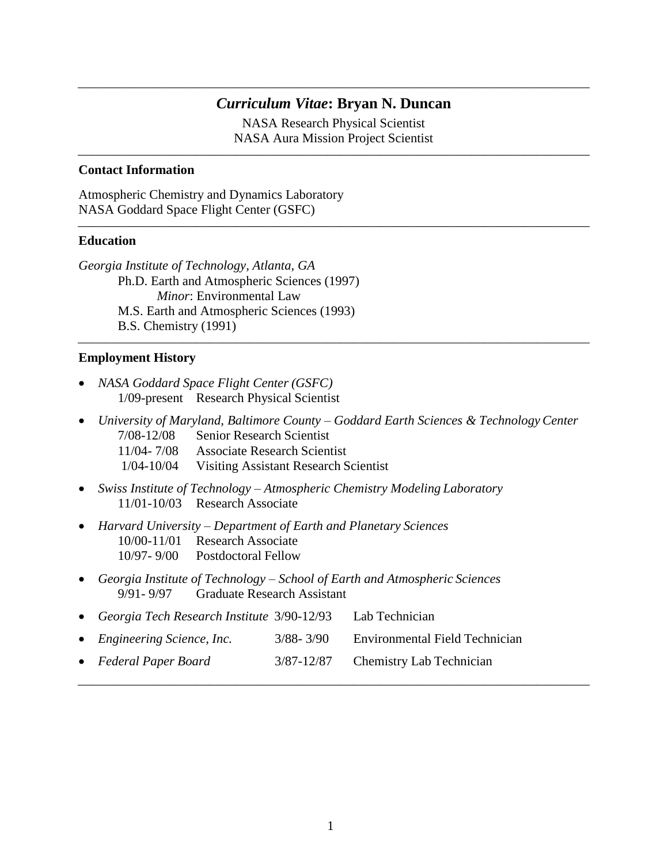# *Curriculum Vitae***: Bryan N. Duncan**

NASA Research Physical Scientist NASA Aura Mission Project Scientist

### **Contact Information**

Atmospheric Chemistry and Dynamics Laboratory NASA Goddard Space Flight Center (GSFC)

## **Education**

*Georgia Institute of Technology, Atlanta, GA* Ph.D. Earth and Atmospheric Sciences (1997) *Minor*: Environmental Law M.S. Earth and Atmospheric Sciences (1993) B.S. Chemistry (1991)

### **Employment History**

- *NASA Goddard Space Flight Center (GSFC)* 1/09-present Research Physical Scientist
- *University of Maryland, Baltimore County – Goddard Earth Sciences & Technology Center* 7/08-12/08 Senior Research Scientist 11/04- 7/08 Associate Research Scientist
	- 1/04-10/04 Visiting Assistant Research Scientist
- *Swiss Institute of Technology – Atmospheric Chemistry Modeling Laboratory* 11/01-10/03 Research Associate
- *Harvard University – Department of Earth and Planetary Sciences* 10/00-11/01 Research Associate 10/97- 9/00 Postdoctoral Fellow
- *Georgia Institute of Technology – School of Earth and Atmospheric Sciences* 9/91- 9/97 Graduate Research Assistant
- *Georgia Tech Research Institute* 3/90-12/93 Lab Technician *Engineering Science, Inc.* 3/88- 3/90 Environmental Field Technician
- *Federal Paper Board* 3/87-12/87 Chemistry Lab Technician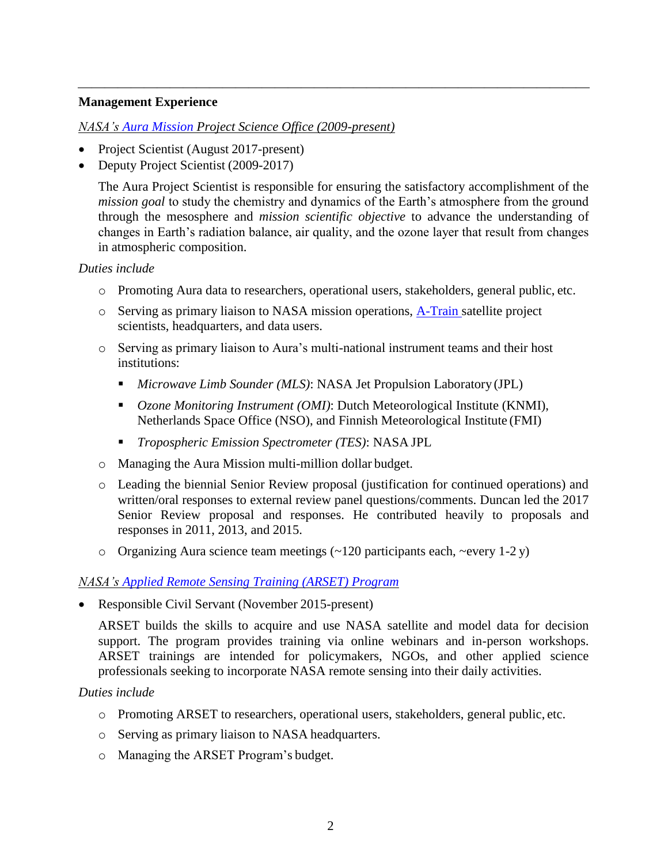## **Management Experience**

### *NASA's Aura Mission Project Science Office (2009-present)*

- Project Scientist (August 2017-present)
- Deputy Project Scientist (2009-2017)

The Aura Project Scientist is responsible for ensuring the satisfactory accomplishment of the *mission goal* to study the chemistry and dynamics of the Earth's atmosphere from the ground through the mesosphere and *mission scientific objective* to advance the understanding of changes in Earth's radiation balance, air quality, and the ozone layer that result from changes in atmospheric composition.

### *Duties include*

- o Promoting Aura data to researchers, operational users, stakeholders, general public, etc.
- o Serving as primary liaison to NASA mission operations, A-Train satellite project scientists, headquarters, and data users.
- o Serving as primary liaison to Aura's multi-national instrument teams and their host institutions:
	- *Microwave Limb Sounder (MLS)*: NASA Jet Propulsion Laboratory (JPL)
	- *Ozone Monitoring Instrument (OMI)*: Dutch Meteorological Institute (KNMI), Netherlands Space Office (NSO), and Finnish Meteorological Institute (FMI)
	- *Tropospheric Emission Spectrometer (TES)*: NASA JPL
- o Managing the Aura Mission multi-million dollar budget.
- o Leading the biennial Senior Review proposal (justification for continued operations) and written/oral responses to external review panel questions/comments. Duncan led the 2017 Senior Review proposal and responses. He contributed heavily to proposals and responses in 2011, 2013, and 2015.
- o Organizing Aura science team meetings (~120 participants each, ~every 1-2 y)

## *NASA's Applied Remote Sensing Training (ARSET) Program*

• Responsible Civil Servant (November 2015-present)

ARSET builds the skills to acquire and use NASA satellite and model data for decision support. The program provides training via online webinars and in-person workshops. ARSET trainings are intended for policymakers, NGOs, and other applied science professionals seeking to incorporate NASA remote sensing into their daily activities.

### *Duties include*

- o Promoting ARSET to researchers, operational users, stakeholders, general public, etc.
- o Serving as primary liaison to NASA headquarters.
- o Managing the ARSET Program's budget.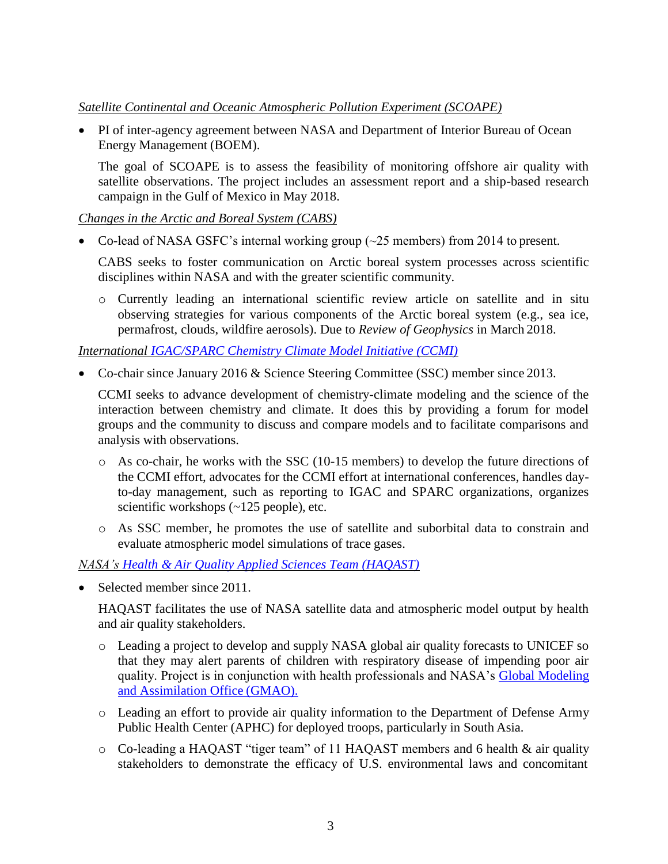## *Satellite Continental and Oceanic Atmospheric Pollution Experiment (SCOAPE)*

• PI of inter-agency agreement between NASA and Department of Interior Bureau of Ocean Energy Management (BOEM).

The goal of SCOAPE is to assess the feasibility of monitoring offshore air quality with satellite observations. The project includes an assessment report and a ship-based research campaign in the Gulf of Mexico in May 2018.

## *Changes in the Arctic and Boreal System (CABS)*

• Co-lead of NASA GSFC's internal working group (~25 members) from 2014 to present.

CABS seeks to foster communication on Arctic boreal system processes across scientific disciplines within NASA and with the greater scientific community.

o Currently leading an international scientific review article on satellite and in situ observing strategies for various components of the Arctic boreal system (e.g., sea ice, permafrost, clouds, wildfire aerosols). Due to *Review of Geophysics* in March 2018.

*International IGAC/SPARC Chemistry Climate Model Initiative (CCMI)*

Co-chair since January 2016 & Science Steering Committee (SSC) member since 2013.

CCMI seeks to advance development of chemistry-climate modeling and the science of the interaction between chemistry and climate. It does this by providing a forum for model groups and the community to discuss and compare models and to facilitate comparisons and analysis with observations.

- o As co-chair, he works with the SSC (10-15 members) to develop the future directions of the CCMI effort, advocates for the CCMI effort at international conferences, handles dayto-day management, such as reporting to IGAC and SPARC organizations, organizes scientific workshops (~125 people), etc.
- o As SSC member, he promotes the use of satellite and suborbital data to constrain and evaluate atmospheric model simulations of trace gases.

*NASA's Health & Air Quality Applied Sciences Team (HAQAST)*

• Selected member since 2011.

HAQAST facilitates the use of NASA satellite data and atmospheric model output by health and air quality stakeholders.

- o Leading a project to develop and supply NASA global air quality forecasts to UNICEF so that they may alert parents of children with respiratory disease of impending poor air quality. Project is in conjunction with health professionals and NASA's Global Modeling and Assimilation Office (GMAO).
- o Leading an effort to provide air quality information to the Department of Defense Army Public Health Center (APHC) for deployed troops, particularly in South Asia.
- o Co-leading a HAQAST "tiger team" of 11 HAQAST members and 6 health & air quality stakeholders to demonstrate the efficacy of U.S. environmental laws and concomitant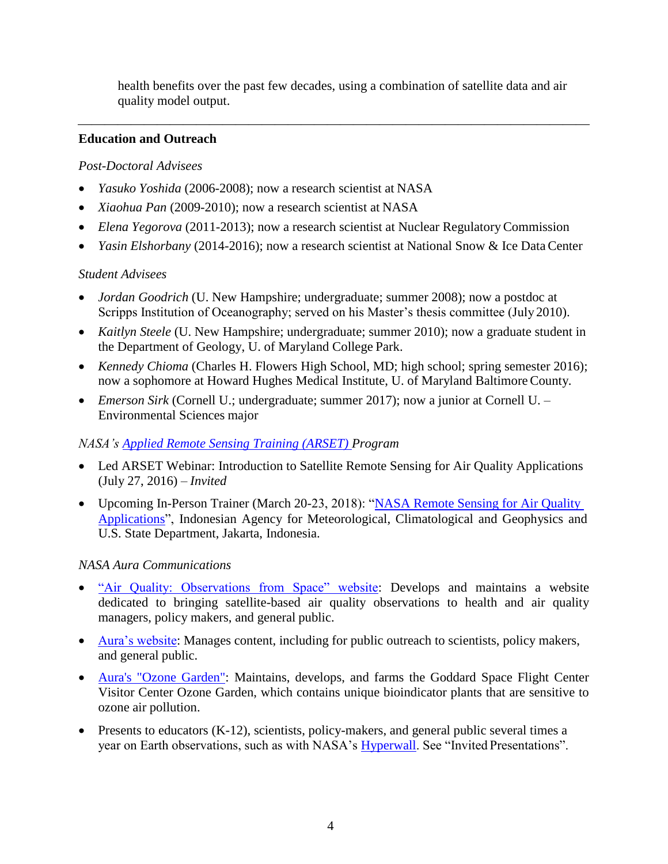health benefits over the past few decades, using a combination of satellite data and air quality model output.

## **Education and Outreach**

# *Post-Doctoral Advisees*

- *Yasuko Yoshida* (2006-2008); now a research scientist at NASA
- *Xiaohua Pan* (2009-2010); now a research scientist at NASA
- *Elena Yegorova* (2011-2013); now a research scientist at Nuclear Regulatory Commission
- *Yasin Elshorbany* (2014-2016); now a research scientist at National Snow & Ice Data Center

# *Student Advisees*

- *Jordan Goodrich* (U. New Hampshire; undergraduate; summer 2008); now a postdoc at Scripps Institution of Oceanography; served on his Master's thesis committee (July 2010).
- *Kaitlyn Steele* (U. New Hampshire; undergraduate; summer 2010); now a graduate student in the Department of Geology, U. of Maryland College Park.
- *Kennedy Chioma* (Charles H. Flowers High School, MD; high school; spring semester 2016); now a sophomore at Howard Hughes Medical Institute, U. of Maryland BaltimoreCounty.
- *Emerson Sirk* (Cornell U.; undergraduate; summer 2017); now a junior at Cornell U. Environmental Sciences major

# *NASA's Applied Remote Sensing Training (ARSET) Program*

- Led ARSET Webinar: Introduction to Satellite Remote Sensing for Air Quality Applications (July 27, 2016) – *Invited*
- Upcoming In-Person Trainer (March 20-23, 2018): "NASA Remote Sensing for Air Quality Applications", Indonesian Agency for Meteorological, Climatological and Geophysics and U.S. State Department, Jakarta, Indonesia.

# *NASA Aura Communications*

- "Air Quality: Observations from Space" website: Develops and maintains a website dedicated to bringing satellite-based air quality observations to health and air quality managers, policy makers, and general public.
- Aura's website: Manages content, including for public outreach to scientists, policy makers, and general public.
- Aura's "Ozone Garden": Maintains, develops, and farms the Goddard Space Flight Center Visitor Center Ozone Garden, which contains unique bioindicator plants that are sensitive to ozone air pollution.
- Presents to educators  $(K-12)$ , scientists, policy-makers, and general public several times a year on Earth observations, such as with NASA's Hyperwall. See "Invited Presentations".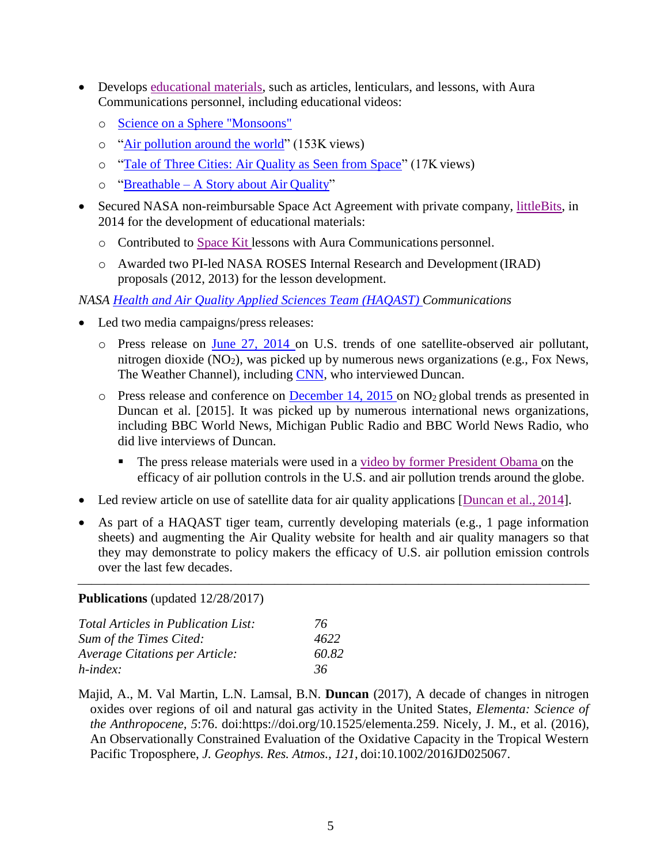- Develops educational materials, such as articles, lenticulars, and lessons, with Aura Communications personnel, including educational videos:
	- o Science on a Sphere "Monsoons"
	- o "Air pollution around the world" (153K views)
	- o "Tale of Three Cities: Air Quality as Seen from Space" (17K views)
	- o " $\frac{\text{Breakable} A \text{ Story about Air Quality}}{\text{Break}}$
- Secured NASA non-reimbursable Space Act Agreement with private company, littleBits, in 2014 for the development of educational materials:
	- o Contributed to Space Kit lessons with Aura Communications personnel.
	- o Awarded two PI-led NASA ROSES Internal Research and Development (IRAD) proposals (2012, 2013) for the lesson development.

*NASA Health and Air Quality Applied Sciences Team (HAQAST) Communications*

- Led two media campaigns/press releases:
	- o Press release on June 27, 2014 on U.S. trends of one satellite-observed air pollutant, nitrogen dioxide (NO2), was picked up by numerous news organizations (e.g., Fox News, The Weather Channel), including CNN, who interviewed Duncan.
	- $\circ$  Press release and conference on December 14, 2015 on NO<sub>2</sub> global trends as presented in Duncan et al. [2015]. It was picked up by numerous international news organizations, including BBC World News, Michigan Public Radio and BBC World News Radio, who did live interviews of Duncan.
		- The press release materials were used in a video by former President Obama on the efficacy of air pollution controls in the U.S. and air pollution trends around the globe.
- Led review article on use of satellite data for air quality applications [Duncan et al., 2014].
- As part of a HAQAST tiger team, currently developing materials (e.g., 1 page information sheets) and augmenting the Air Quality website for health and air quality managers so that they may demonstrate to policy makers the efficacy of U.S. air pollution emission controls over the last few decades.

# **Publications** (updated 12/28/2017)

| <b>Total Articles in Publication List:</b> | 76    |
|--------------------------------------------|-------|
| Sum of the Times Cited:                    | 4622  |
| <b>Average Citations per Article:</b>      | 60.82 |
| $h$ -index:                                | -36   |

Majid, A., M. Val Martin, L.N. Lamsal, B.N. **Duncan** (2017), A decade of changes in nitrogen oxides over regions of oil and natural gas activity in the United States, *Elementa: Science of the Anthropocene, 5*:76. doi:https://doi.org/10.1525/elementa.259. Nicely, J. M., et al. (2016), An Observationally Constrained Evaluation of the Oxidative Capacity in the Tropical Western Pacific Troposphere, *J. Geophys. Res. Atmos., 121*, doi:10.1002/2016JD025067.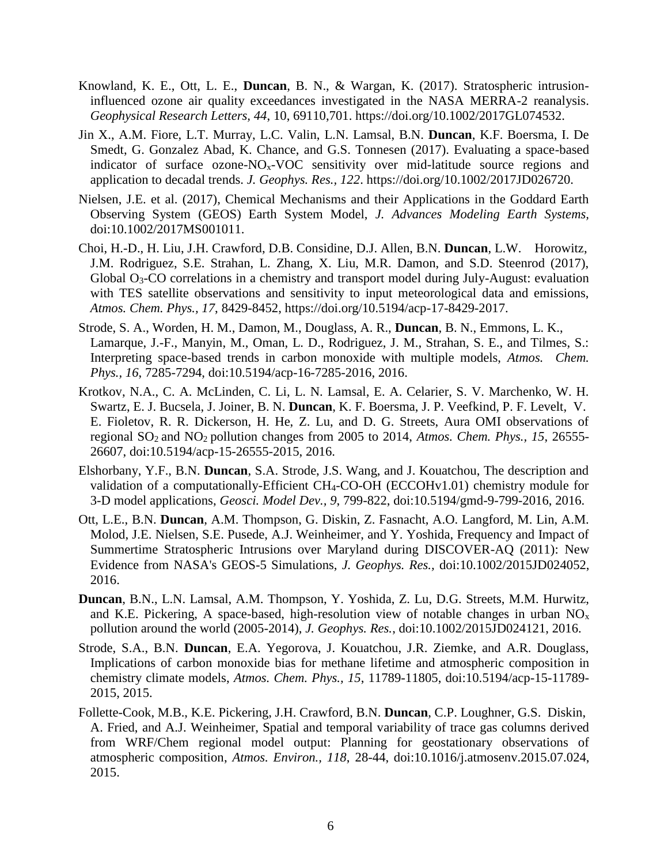- Knowland, K. E., Ott, L. E., **Duncan**, B. N., & Wargan, K. (2017). Stratospheric intrusioninfluenced ozone air quality exceedances investigated in the NASA MERRA-2 reanalysis. *Geophysical Research Letters, 44*, 10, 69110,701. https://doi.org/10.1002/2017GL074532.
- Jin X., A.M. Fiore, L.T. Murray, L.C. Valin, L.N. Lamsal, B.N. **Duncan**, K.F. Boersma, I. De Smedt, G. Gonzalez Abad, K. Chance, and G.S. Tonnesen (2017). Evaluating a space-based indicator of surface ozone-NOx-VOC sensitivity over mid-latitude source regions and application to decadal trends. *J. Geophys. Res., 122*. https://doi.org/10.1002/2017JD026720.
- Nielsen, J.E. et al. (2017), Chemical Mechanisms and their Applications in the Goddard Earth Observing System (GEOS) Earth System Model, *J. Advances Modeling Earth Systems,*  doi:10.1002/2017MS001011.
- Choi, H.-D., H. Liu, J.H. Crawford, D.B. Considine, D.J. Allen, B.N. **Duncan**, L.W. Horowitz, J.M. Rodriguez, S.E. Strahan, L. Zhang, X. Liu, M.R. Damon, and S.D. Steenrod (2017), Global O<sub>3</sub>-CO correlations in a chemistry and transport model during July-August: evaluation with TES satellite observations and sensitivity to input meteorological data and emissions, *Atmos. Chem. Phys., 17*, 8429-8452, https://doi.org/10.5194/acp-17-8429-2017.
- Strode, S. A., Worden, H. M., Damon, M., Douglass, A. R., **Duncan**, B. N., Emmons, L. K., Lamarque, J.-F., Manyin, M., Oman, L. D., Rodriguez, J. M., Strahan, S. E., and Tilmes, S.: Interpreting space-based trends in carbon monoxide with multiple models, *Atmos. Chem. Phys., 16*, 7285-7294, doi:10.5194/acp-16-7285-2016, 2016.
- Krotkov, N.A., C. A. McLinden, C. Li, L. N. Lamsal, E. A. Celarier, S. V. Marchenko, W. H. Swartz, E. J. Bucsela, J. Joiner, B. N. **Duncan**, K. F. Boersma, J. P. Veefkind, P. F. Levelt, V. E. Fioletov, R. R. Dickerson, H. He, Z. Lu, and D. G. Streets, Aura OMI observations of regional SO2 and NO2 pollution changes from 2005 to 2014, *Atmos. Chem. Phys., 15*, 26555- 26607, doi:10.5194/acp-15-26555-2015, 2016.
- Elshorbany, Y.F., B.N. **Duncan**, S.A. Strode, J.S. Wang, and J. Kouatchou, The description and validation of a computationally-Efficient CH4-CO-OH (ECCOHv1.01) chemistry module for 3-D model applications, *Geosci. Model Dev., 9*, 799-822, doi:10.5194/gmd-9-799-2016, 2016.
- Ott, L.E., B.N. **Duncan**, A.M. Thompson, G. Diskin, Z. Fasnacht, A.O. Langford, M. Lin, A.M. Molod, J.E. Nielsen, S.E. Pusede, A.J. Weinheimer, and Y. Yoshida, Frequency and Impact of Summertime Stratospheric Intrusions over Maryland during DISCOVER-AQ (2011): New Evidence from NASA's GEOS-5 Simulations, *J. Geophys. Res.,* doi:10.1002/2015JD024052, 2016.
- **Duncan**, B.N., L.N. Lamsal, A.M. Thompson, Y. Yoshida, Z. Lu, D.G. Streets, M.M. Hurwitz, and K.E. Pickering, A space-based, high-resolution view of notable changes in urban  $NO<sub>x</sub>$ pollution around the world (2005-2014), *J. Geophys. Res.*, doi:10.1002/2015JD024121, 2016.
- Strode, S.A., B.N. **Duncan**, E.A. Yegorova, J. Kouatchou, J.R. Ziemke, and A.R. Douglass, Implications of carbon monoxide bias for methane lifetime and atmospheric composition in chemistry climate models, *Atmos. Chem. Phys., 15*, 11789-11805, doi:10.5194/acp-15-11789- 2015, 2015.
- Follette-Cook, M.B., K.E. Pickering, J.H. Crawford, B.N. **Duncan**, C.P. Loughner, G.S. Diskin, A. Fried, and A.J. Weinheimer, Spatial and temporal variability of trace gas columns derived from WRF/Chem regional model output: Planning for geostationary observations of atmospheric composition, *Atmos. Environ., 118*, 28-44, doi:10.1016/j.atmosenv.2015.07.024, 2015.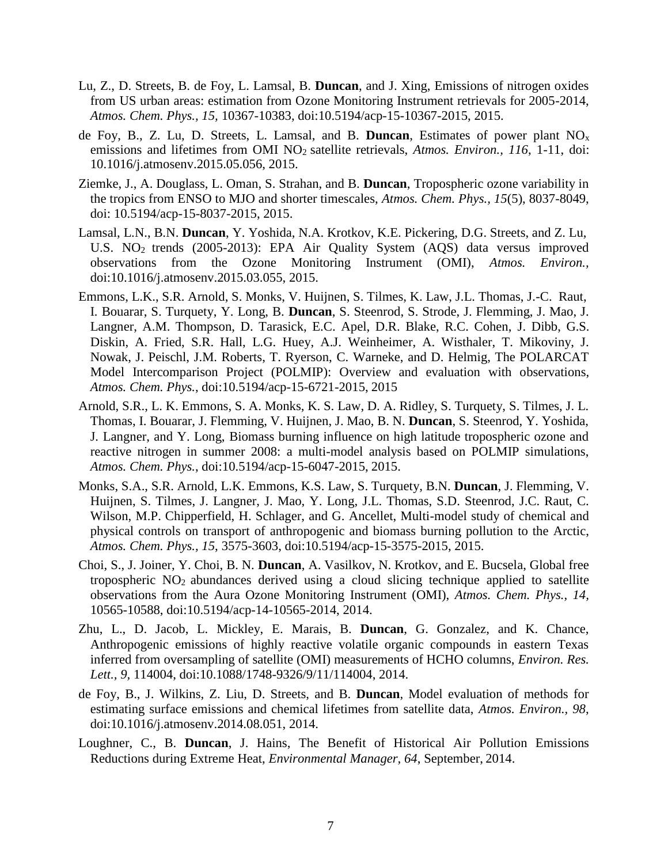- Lu, Z., D. Streets, B. de Foy, L. Lamsal, B. **Duncan**, and J. Xing, Emissions of nitrogen oxides from US urban areas: estimation from Ozone Monitoring Instrument retrievals for 2005-2014, *Atmos. Chem. Phys., 15,* 10367-10383, doi:10.5194/acp-15-10367-2015, 2015.
- de Foy, B., Z. Lu, D. Streets, L. Lamsal, and B. **Duncan**, Estimates of power plant  $NO<sub>x</sub>$ emissions and lifetimes from OMI NO2 satellite retrievals, *Atmos. Environ., 116*, 1-11, doi: 10.1016/j.atmosenv.2015.05.056, 2015.
- Ziemke, J., A. Douglass, L. Oman, S. Strahan, and B. **Duncan**, Tropospheric ozone variability in the tropics from ENSO to MJO and shorter timescales, *Atmos. Chem. Phys., 15*(5), 8037-8049, doi: 10.5194/acp-15-8037-2015, 2015.
- Lamsal, L.N., B.N. **Duncan**, Y. Yoshida, N.A. Krotkov, K.E. Pickering, D.G. Streets, and Z. Lu, U.S. NO2 trends (2005-2013): EPA Air Quality System (AQS) data versus improved observations from the Ozone Monitoring Instrument (OMI), *Atmos. Environ.,*  doi:10.1016/j.atmosenv.2015.03.055, 2015.
- Emmons, L.K., S.R. Arnold, S. Monks, V. Huijnen, S. Tilmes, K. Law, J.L. Thomas, J.-C. Raut, I. Bouarar, S. Turquety, Y. Long, B. **Duncan**, S. Steenrod, S. Strode, J. Flemming, J. Mao, J. Langner, A.M. Thompson, D. Tarasick, E.C. Apel, D.R. Blake, R.C. Cohen, J. Dibb, G.S. Diskin, A. Fried, S.R. Hall, L.G. Huey, A.J. Weinheimer, A. Wisthaler, T. Mikoviny, J. Nowak, J. Peischl, J.M. Roberts, T. Ryerson, C. Warneke, and D. Helmig, The POLARCAT Model Intercomparison Project (POLMIP): Overview and evaluation with observations, *Atmos. Chem. Phys.*, doi:10.5194/acp-15-6721-2015, 2015
- Arnold, S.R., L. K. Emmons, S. A. Monks, K. S. Law, D. A. Ridley, S. Turquety, S. Tilmes, J. L. Thomas, I. Bouarar, J. Flemming, V. Huijnen, J. Mao, B. N. **Duncan**, S. Steenrod, Y. Yoshida, J. Langner, and Y. Long, Biomass burning influence on high latitude tropospheric ozone and reactive nitrogen in summer 2008: a multi-model analysis based on POLMIP simulations, *Atmos. Chem. Phys.*, doi:10.5194/acp-15-6047-2015, 2015.
- Monks, S.A., S.R. Arnold, L.K. Emmons, K.S. Law, S. Turquety, B.N. **Duncan**, J. Flemming, V. Huijnen, S. Tilmes, J. Langner, J. Mao, Y. Long, J.L. Thomas, S.D. Steenrod, J.C. Raut, C. Wilson, M.P. Chipperfield, H. Schlager, and G. Ancellet, Multi-model study of chemical and physical controls on transport of anthropogenic and biomass burning pollution to the Arctic, *Atmos. Chem. Phys., 15*, 3575-3603, doi:10.5194/acp-15-3575-2015, 2015.
- Choi, S., J. Joiner, Y. Choi, B. N. **Duncan**, A. Vasilkov, N. Krotkov, and E. Bucsela, Global free tropospheric  $NO<sub>2</sub>$  abundances derived using a cloud slicing technique applied to satellite observations from the Aura Ozone Monitoring Instrument (OMI), *Atmos. Chem. Phys., 14,*  10565-10588, doi:10.5194/acp-14-10565-2014, 2014.
- Zhu, L., D. Jacob, L. Mickley, E. Marais, B. **Duncan**, G. Gonzalez, and K. Chance, Anthropogenic emissions of highly reactive volatile organic compounds in eastern Texas inferred from oversampling of satellite (OMI) measurements of HCHO columns, *Environ. Res. Lett., 9,* 114004, doi:10.1088/1748-9326/9/11/114004, 2014.
- de Foy, B., J. Wilkins, Z. Liu, D. Streets, and B. **Duncan**, Model evaluation of methods for estimating surface emissions and chemical lifetimes from satellite data, *Atmos. Environ., 98*, doi:10.1016/j.atmosenv.2014.08.051, 2014.
- Loughner, C., B. **Duncan**, J. Hains, The Benefit of Historical Air Pollution Emissions Reductions during Extreme Heat, *Environmental Manager, 64*, September, 2014.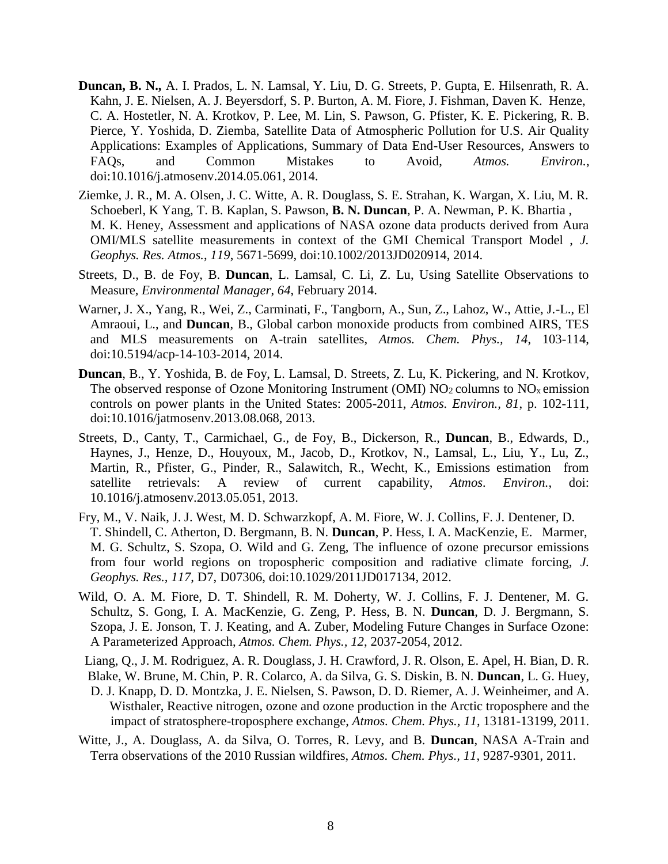- **Duncan, B. N.,** A. I. Prados, L. N. Lamsal, Y. Liu, D. G. Streets, P. Gupta, E. Hilsenrath, R. A. Kahn, J. E. Nielsen, A. J. Beyersdorf, S. P. Burton, A. M. Fiore, J. Fishman, Daven K. Henze, C. A. Hostetler, N. A. Krotkov, P. Lee, M. Lin, S. Pawson, G. Pfister, K. E. Pickering, R. B. Pierce, Y. Yoshida, D. Ziemba, Satellite Data of Atmospheric Pollution for U.S. Air Quality Applications: Examples of Applications, Summary of Data End-User Resources, Answers to FAQs, and Common Mistakes to Avoid, *Atmos. Environ.*, doi:10.1016/j.atmosenv.2014.05.061, 2014.
- Ziemke, J. R., M. A. Olsen, J. C. Witte, A. R. Douglass, S. E. Strahan, K. Wargan, X. Liu, M. R. Schoeberl, K Yang, T. B. Kaplan, S. Pawson, **B. N. Duncan**, P. A. Newman, P. K. Bhartia , M. K. Heney, Assessment and applications of NASA ozone data products derived from Aura OMI/MLS satellite measurements in context of the GMI Chemical Transport Model , *J. Geophys. Res. Atmos.*, *119*, 5671-5699, doi:10.1002/2013JD020914, 2014.
- Streets, D., B. de Foy, B. **Duncan**, L. Lamsal, C. Li, Z. Lu, Using Satellite Observations to Measure*, Environmental Manager*, *64*, February 2014.
- Warner, J. X., Yang, R., Wei, Z., Carminati, F., Tangborn, A., Sun, Z., Lahoz, W., Attie, J.-L., El Amraoui, L., and **Duncan**, B., Global carbon monoxide products from combined AIRS, TES and MLS measurements on A-train satellites, *Atmos. Chem. Phys., 14*, 103-114, doi:10.5194/acp-14-103-2014, 2014.
- **Duncan**, B., Y. Yoshida, B. de Foy, L. Lamsal, D. Streets, Z. Lu, K. Pickering, and N. Krotkov, The observed response of Ozone Monitoring Instrument (OMI)  $NO<sub>2</sub>$  columns to  $NO<sub>x</sub>$  emission controls on power plants in the United States: 2005-2011, *Atmos. Environ., 81*, p. 102-111, doi:10.1016/jatmosenv.2013.08.068, 2013.
- Streets, D., Canty, T., Carmichael, G., de Foy, B., Dickerson, R., **Duncan**, B., Edwards, D., Haynes, J., Henze, D., Houyoux, M., Jacob, D., Krotkov, N., Lamsal, L., Liu, Y., Lu, Z., Martin, R., Pfister, G., Pinder, R., Salawitch, R., Wecht, K., Emissions estimation from satellite retrievals: A review of current capability, *Atmos. Environ.*, doi: 10.1016/j.atmosenv.2013.05.051, 2013.
- Fry, M., V. Naik, J. J. West, M. D. Schwarzkopf, A. M. Fiore, W. J. Collins, F. J. Dentener, D. T. Shindell, C. Atherton, D. Bergmann, B. N. **Duncan**, P. Hess, I. A. MacKenzie, E. Marmer, M. G. Schultz, S. Szopa, O. Wild and G. Zeng, The influence of ozone precursor emissions from four world regions on tropospheric composition and radiative climate forcing, *J. Geophys. Res., 117*, D7, D07306, doi:10.1029/2011JD017134, 2012.
- Wild, O. A. M. Fiore, D. T. Shindell, R. M. Doherty, W. J. Collins, F. J. Dentener, M. G. Schultz, S. Gong, I. A. MacKenzie, G. Zeng, P. Hess, B. N. **Duncan**, D. J. Bergmann, S. Szopa, J. E. Jonson, T. J. Keating, and A. Zuber, Modeling Future Changes in Surface Ozone: A Parameterized Approach, *Atmos. Chem. Phys., 12*, 2037-2054, 2012.
- Liang, Q., J. M. Rodriguez, A. R. Douglass, J. H. Crawford, J. R. Olson, E. Apel, H. Bian, D. R. Blake, W. Brune, M. Chin, P. R. Colarco, A. da Silva, G. S. Diskin, B. N. **Duncan**, L. G. Huey,
- D. J. Knapp, D. D. Montzka, J. E. Nielsen, S. Pawson, D. D. Riemer, A. J. Weinheimer, and A. Wisthaler, Reactive nitrogen, ozone and ozone production in the Arctic troposphere and the impact of stratosphere-troposphere exchange, *Atmos. Chem. Phys., 11*, 13181-13199, 2011.
- Witte, J., A. Douglass, A. da Silva, O. Torres, R. Levy, and B. **Duncan**, NASA A-Train and Terra observations of the 2010 Russian wildfires, *Atmos. Chem. Phys., 11*, 9287-9301, 2011.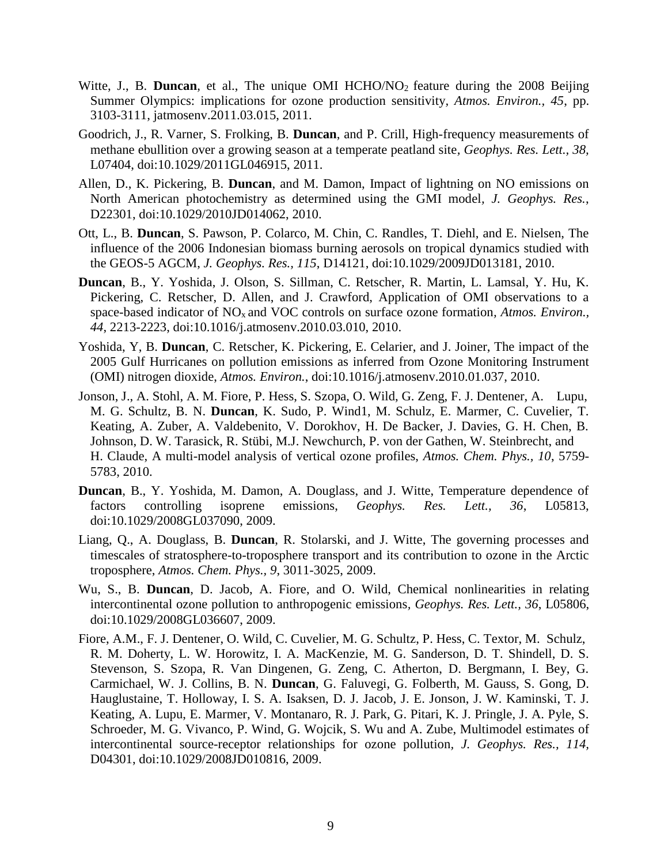- Witte, J., B. **Duncan**, et al., The unique OMI HCHO/NO<sub>2</sub> feature during the 2008 Beijing Summer Olympics: implications for ozone production sensitivity*, Atmos. Environ., 45*, pp. 3103-3111, jatmosenv.2011.03.015, 2011.
- Goodrich, J., R. Varner, S. Frolking, B. **Duncan**, and P. Crill, High-frequency measurements of methane ebullition over a growing season at a temperate peatland site*, Geophys. Res. Lett., 38,*  L07404, doi:10.1029/2011GL046915, 2011.
- Allen, D., K. Pickering, B. **Duncan**, and M. Damon, Impact of lightning on NO emissions on North American photochemistry as determined using the GMI model*, J. Geophys. Res.*, D22301, doi:10.1029/2010JD014062, 2010.
- Ott, L., B. **Duncan**, S. Pawson, P. Colarco, M. Chin, C. Randles, T. Diehl, and E. Nielsen, The influence of the 2006 Indonesian biomass burning aerosols on tropical dynamics studied with the GEOS-5 AGCM, *J. Geophys. Res., 115*, D14121, doi:10.1029/2009JD013181, 2010.
- **Duncan**, B., Y. Yoshida, J. Olson, S. Sillman, C. Retscher, R. Martin, L. Lamsal, Y. Hu, K. Pickering, C. Retscher, D. Allen, and J. Crawford, Application of OMI observations to a space-based indicator of NOx and VOC controls on surface ozone formation*, Atmos. Environ., 44*, 2213-2223, doi:10.1016/j.atmosenv.2010.03.010, 2010.
- Yoshida, Y, B. **Duncan**, C. Retscher, K. Pickering, E. Celarier, and J. Joiner, The impact of the 2005 Gulf Hurricanes on pollution emissions as inferred from Ozone Monitoring Instrument (OMI) nitrogen dioxide, *Atmos. Environ.*, doi:10.1016/j.atmosenv.2010.01.037, 2010.
- Jonson, J., A. Stohl, A. M. Fiore, P. Hess, S. Szopa, O. Wild, G. Zeng, F. J. Dentener, A. Lupu, M. G. Schultz, B. N. **Duncan**, K. Sudo, P. Wind1, M. Schulz, E. Marmer, C. Cuvelier, T. Keating, A. Zuber, A. Valdebenito, V. Dorokhov, H. De Backer, J. Davies, G. H. Chen, B. Johnson, D. W. Tarasick, R. Stübi, M.J. Newchurch, P. von der Gathen, W. Steinbrecht, and H. Claude, A multi-model analysis of vertical ozone profiles, *Atmos. Chem. Phys., 10*, 5759- 5783, 2010.
- **Duncan**, B., Y. Yoshida, M. Damon, A. Douglass, and J. Witte, Temperature dependence of factors controlling isoprene emissions, *Geophys. Res. Lett., 36*, L05813, doi:10.1029/2008GL037090, 2009.
- Liang, Q., A. Douglass, B. **Duncan**, R. Stolarski, and J. Witte, The governing processes and timescales of stratosphere-to-troposphere transport and its contribution to ozone in the Arctic troposphere, *Atmos. Chem. Phys., 9*, 3011-3025, 2009.
- Wu, S., B. **Duncan**, D. Jacob, A. Fiore, and O. Wild, Chemical nonlinearities in relating intercontinental ozone pollution to anthropogenic emissions*, Geophys. Res. Lett., 36*, L05806, doi:10.1029/2008GL036607, 2009.
- Fiore, A.M., F. J. Dentener, O. Wild, C. Cuvelier, M. G. Schultz, P. Hess, C. Textor, M. Schulz, R. M. Doherty, L. W. Horowitz, I. A. MacKenzie, M. G. Sanderson, D. T. Shindell, D. S. Stevenson, S. Szopa, R. Van Dingenen, G. Zeng, C. Atherton, D. Bergmann, I. Bey, G. Carmichael, W. J. Collins, B. N. **Duncan**, G. Faluvegi, G. Folberth, M. Gauss, S. Gong, D. Hauglustaine, T. Holloway, I. S. A. Isaksen, D. J. Jacob, J. E. Jonson, J. W. Kaminski, T. J. Keating, A. Lupu, E. Marmer, V. Montanaro, R. J. Park, G. Pitari, K. J. Pringle, J. A. Pyle, S. Schroeder, M. G. Vivanco, P. Wind, G. Wojcik, S. Wu and A. Zube, Multimodel estimates of intercontinental source-receptor relationships for ozone pollution*, J. Geophys. Res., 114,*  D04301, doi:10.1029/2008JD010816, 2009.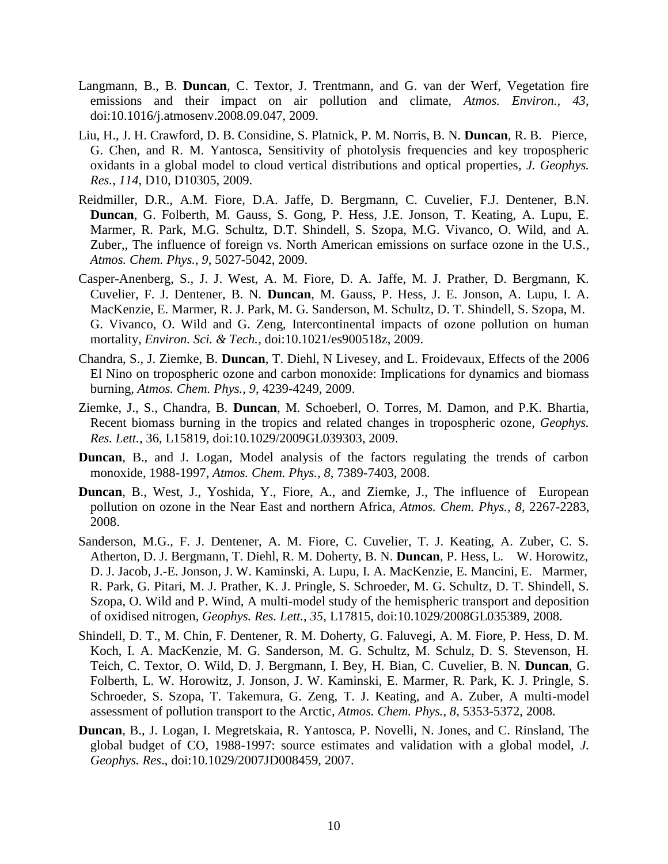- Langmann, B., B. **Duncan**, C. Textor, J. Trentmann, and G. van der Werf, Vegetation fire emissions and their impact on air pollution and climate, *Atmos. Environ., 43*, doi:10.1016/j.atmosenv.2008.09.047, 2009.
- Liu, H., J. H. Crawford, D. B. Considine, S. Platnick, P. M. Norris, B. N. **Duncan**, R. B. Pierce, G. Chen, and R. M. Yantosca, Sensitivity of photolysis frequencies and key tropospheric oxidants in a global model to cloud vertical distributions and optical properties*, J. Geophys. Res., 114*, D10, D10305, 2009.
- Reidmiller, D.R., A.M. Fiore, D.A. Jaffe, D. Bergmann, C. Cuvelier, F.J. Dentener, B.N. **Duncan**, G. Folberth, M. Gauss, S. Gong, P. Hess, J.E. Jonson, T. Keating, A. Lupu, E. Marmer, R. Park, M.G. Schultz, D.T. Shindell, S. Szopa, M.G. Vivanco, O. Wild, and A. Zuber,, The influence of foreign vs. North American emissions on surface ozone in the U.S.*, Atmos. Chem. Phys., 9*, 5027-5042, 2009.
- Casper-Anenberg, S., J. J. West, A. M. Fiore, D. A. Jaffe, M. J. Prather, D. Bergmann, K. Cuvelier, F. J. Dentener, B. N. **Duncan**, M. Gauss, P. Hess, J. E. Jonson, A. Lupu, I. A. MacKenzie, E. Marmer, R. J. Park, M. G. Sanderson, M. Schultz, D. T. Shindell, S. Szopa, M. G. Vivanco, O. Wild and G. Zeng, Intercontinental impacts of ozone pollution on human mortality, *Environ. Sci. & Tech.*, doi:10.1021/es900518z, 2009.
- Chandra, S., J. Ziemke, B. **Duncan**, T. Diehl, N Livesey, and L. Froidevaux, Effects of the 2006 El Nino on tropospheric ozone and carbon monoxide: Implications for dynamics and biomass burning*, Atmos. Chem. Phys., 9*, 4239-4249, 2009.
- Ziemke, J., S., Chandra, B. **Duncan**, M. Schoeberl, O. Torres, M. Damon, and P.K. Bhartia, Recent biomass burning in the tropics and related changes in tropospheric ozone*, Geophys. Res. Lett.,* 36, L15819, doi:10.1029/2009GL039303, 2009.
- **Duncan**, B., and J. Logan, Model analysis of the factors regulating the trends of carbon monoxide, 1988-1997*, Atmos. Chem. Phys., 8*, 7389-7403, 2008.
- **Duncan**, B., West, J., Yoshida, Y., Fiore, A., and Ziemke, J., The influence of European pollution on ozone in the Near East and northern Africa, *Atmos. Chem. Phys., 8*, 2267-2283, 2008.
- Sanderson, M.G., F. J. Dentener, A. M. Fiore, C. Cuvelier, T. J. Keating, A. Zuber, C. S. Atherton, D. J. Bergmann, T. Diehl, R. M. Doherty, B. N. **Duncan**, P. Hess, L. W. Horowitz, D. J. Jacob, J.-E. Jonson, J. W. Kaminski, A. Lupu, I. A. MacKenzie, E. Mancini, E. Marmer, R. Park, G. Pitari, M. J. Prather, K. J. Pringle, S. Schroeder, M. G. Schultz, D. T. Shindell, S. Szopa, O. Wild and P. Wind, A multi-model study of the hemispheric transport and deposition of oxidised nitrogen*, Geophys. Res. Lett., 35*, L17815, doi:10.1029/2008GL035389, 2008.
- Shindell, D. T., M. Chin, F. Dentener, R. M. Doherty, G. Faluvegi, A. M. Fiore, P. Hess, D. M. Koch, I. A. MacKenzie, M. G. Sanderson, M. G. Schultz, M. Schulz, D. S. Stevenson, H. Teich, C. Textor, O. Wild, D. J. Bergmann, I. Bey, H. Bian, C. Cuvelier, B. N. **Duncan**, G. Folberth, L. W. Horowitz, J. Jonson, J. W. Kaminski, E. Marmer, R. Park, K. J. Pringle, S. Schroeder, S. Szopa, T. Takemura, G. Zeng, T. J. Keating, and A. Zuber, A multi-model assessment of pollution transport to the Arctic*, Atmos. Chem. Phys., 8*, 5353-5372, 2008.
- **Duncan**, B., J. Logan, I. Megretskaia, R. Yantosca, P. Novelli, N. Jones, and C. Rinsland, The global budget of CO, 1988-1997: source estimates and validation with a global model, *J. Geophys. Res*., doi:10.1029/2007JD008459, 2007.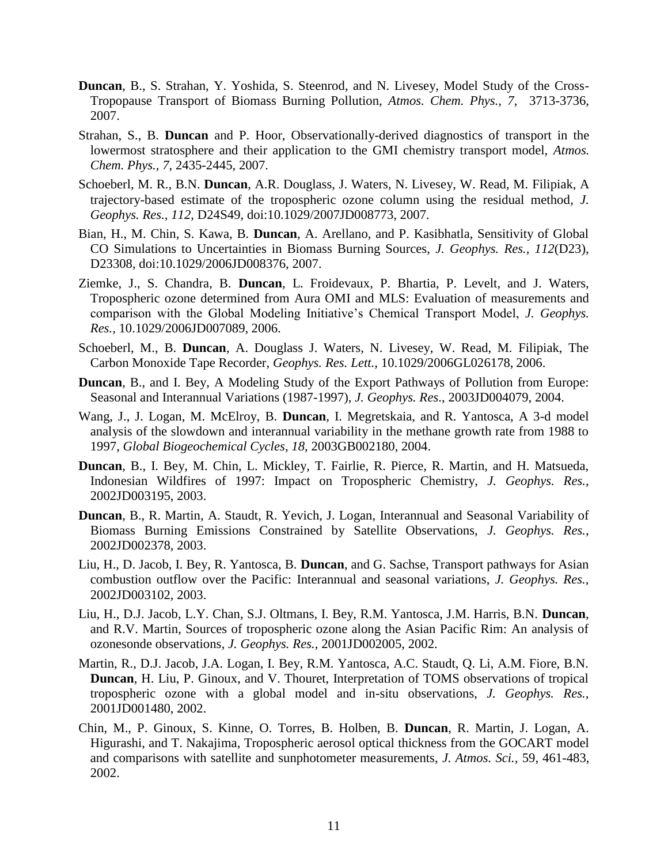- **Duncan**, B., S. Strahan, Y. Yoshida, S. Steenrod, and N. Livesey, Model Study of the Cross-Tropopause Transport of Biomass Burning Pollution, *Atmos. Chem. Phys., 7*, 3713-3736, 2007.
- Strahan, S., B. **Duncan** and P. Hoor, Observationally-derived diagnostics of transport in the lowermost stratosphere and their application to the GMI chemistry transport model, *Atmos. Chem. Phys., 7*, 2435-2445, 2007.
- Schoeberl, M. R., B.N. **Duncan**, A.R. Douglass, J. Waters, N. Livesey, W. Read, M. Filipiak, A trajectory-based estimate of the tropospheric ozone column using the residual method*, J. Geophys. Res., 112*, D24S49, doi:10.1029/2007JD008773, 2007.
- Bian, H., M. Chin, S. Kawa, B. **Duncan**, A. Arellano, and P. Kasibhatla, Sensitivity of Global CO Simulations to Uncertainties in Biomass Burning Sources, *J. Geophys. Res., 112*(D23), D23308, doi:10.1029/2006JD008376, 2007.
- Ziemke, J., S. Chandra, B. **Duncan**, L. Froidevaux, P. Bhartia, P. Levelt, and J. Waters, Tropospheric ozone determined from Aura OMI and MLS: Evaluation of measurements and comparison with the Global Modeling Initiative's Chemical Transport Model, *J. Geophys. Res.,* 10.1029/2006JD007089, 2006.
- Schoeberl, M., B. **Duncan**, A. Douglass J. Waters, N. Livesey, W. Read, M. Filipiak, The Carbon Monoxide Tape Recorder, *Geophys. Res. Lett.,* 10.1029/2006GL026178, 2006.
- **Duncan**, B., and I. Bey, A Modeling Study of the Export Pathways of Pollution from Europe: Seasonal and Interannual Variations (1987-1997), *J. Geophys. Res*., 2003JD004079, 2004.
- Wang, J., J. Logan, M. McElroy, B. **Duncan**, I. Megretskaia, and R. Yantosca, A 3-d model analysis of the slowdown and interannual variability in the methane growth rate from 1988 to 1997, *Global Biogeochemical Cycles*, *18*, 2003GB002180, 2004.
- **Duncan**, B., I. Bey, M. Chin, L. Mickley, T. Fairlie, R. Pierce, R. Martin, and H. Matsueda, Indonesian Wildfires of 1997: Impact on Tropospheric Chemistry, *J. Geophys. Res.,*  2002JD003195, 2003.
- **Duncan**, B., R. Martin, A. Staudt, R. Yevich, J. Logan, Interannual and Seasonal Variability of Biomass Burning Emissions Constrained by Satellite Observations, *J. Geophys. Res.*, 2002JD002378, 2003.
- Liu, H., D. Jacob, I. Bey, R. Yantosca, B. **Duncan**, and G. Sachse, Transport pathways for Asian combustion outflow over the Pacific: Interannual and seasonal variations, *J. Geophys. Res.,*  2002JD003102, 2003.
- Liu, H., D.J. Jacob, L.Y. Chan, S.J. Oltmans, I. Bey, R.M. Yantosca, J.M. Harris, B.N. **Duncan**, and R.V. Martin, Sources of tropospheric ozone along the Asian Pacific Rim: An analysis of ozonesonde observations, *J. Geophys. Res.,* 2001JD002005, 2002.
- Martin, R., D.J. Jacob, J.A. Logan, I. Bey, R.M. Yantosca, A.C. Staudt, Q. Li, A.M. Fiore, B.N. **Duncan**, H. Liu, P. Ginoux, and V. Thouret, Interpretation of TOMS observations of tropical tropospheric ozone with a global model and in-situ observations, *J. Geophys. Res.,*  2001JD001480, 2002.
- Chin, M., P. Ginoux, S. Kinne, O. Torres, B. Holben, B. **Duncan**, R. Martin, J. Logan, A. Higurashi, and T. Nakajima, Tropospheric aerosol optical thickness from the GOCART model and comparisons with satellite and sunphotometer measurements, *J. Atmos. Sci.,* 59, 461-483, 2002.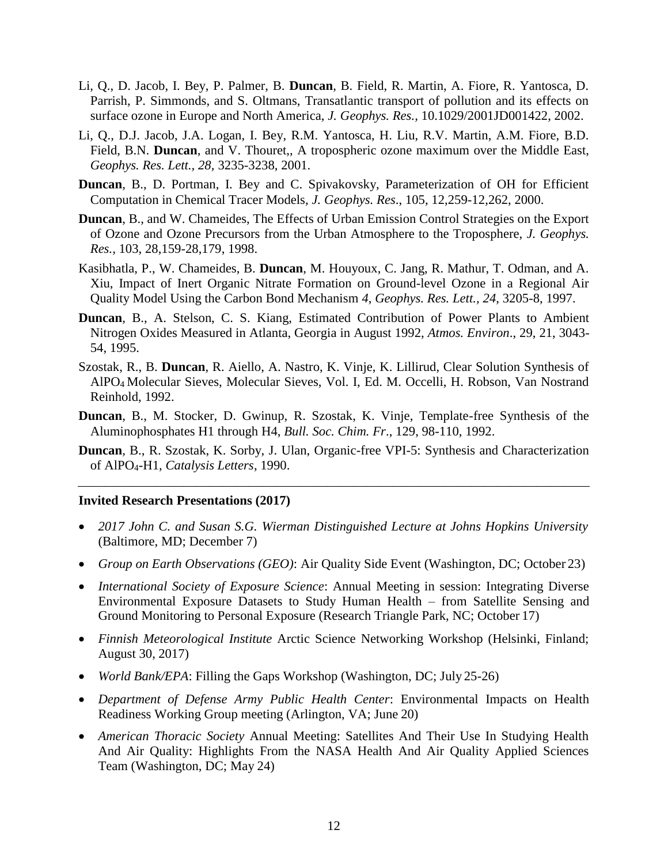- Li, Q., D. Jacob, I. Bey, P. Palmer, B. **Duncan**, B. Field, R. Martin, A. Fiore, R. Yantosca, D. Parrish, P. Simmonds, and S. Oltmans, Transatlantic transport of pollution and its effects on surface ozone in Europe and North America, *J. Geophys. Res.,* 10.1029/2001JD001422, 2002.
- Li, Q., D.J. Jacob, J.A. Logan, I. Bey, R.M. Yantosca, H. Liu, R.V. Martin, A.M. Fiore, B.D. Field, B.N. **Duncan**, and V. Thouret,, A tropospheric ozone maximum over the Middle East, *Geophys. Res. Lett., 28,* 3235-3238, 2001.
- **Duncan**, B., D. Portman, I. Bey and C. Spivakovsky, Parameterization of OH for Efficient Computation in Chemical Tracer Models, *J. Geophys. Res*., 105, 12,259-12,262, 2000.
- **Duncan**, B., and W. Chameides, The Effects of Urban Emission Control Strategies on the Export of Ozone and Ozone Precursors from the Urban Atmosphere to the Troposphere, *J. Geophys. Res.,* 103, 28,159-28,179, 1998.
- Kasibhatla, P., W. Chameides, B. **Duncan**, M. Houyoux, C. Jang, R. Mathur, T. Odman, and A. Xiu, Impact of Inert Organic Nitrate Formation on Ground-level Ozone in a Regional Air Quality Model Using the Carbon Bond Mechanism *4*, *Geophys. Res. Lett., 24*, 3205-8, 1997.
- **Duncan**, B., A. Stelson, C. S. Kiang, Estimated Contribution of Power Plants to Ambient Nitrogen Oxides Measured in Atlanta, Georgia in August 1992, *Atmos. Environ*., 29, 21, 3043- 54, 1995.
- Szostak, R., B. **Duncan**, R. Aiello, A. Nastro, K. Vinje, K. Lillirud, Clear Solution Synthesis of AlPO4 Molecular Sieves, Molecular Sieves, Vol. I, Ed. M. Occelli, H. Robson, Van Nostrand Reinhold, 1992.
- **Duncan**, B., M. Stocker, D. Gwinup, R. Szostak, K. Vinje, Template-free Synthesis of the Aluminophosphates H1 through H4, *Bull. Soc. Chim. Fr*., 129, 98-110, 1992.
- **Duncan**, B., R. Szostak, K. Sorby, J. Ulan, Organic-free VPI-5: Synthesis and Characterization of AlPO4-H1, *Catalysis Letters*, 1990.

#### **Invited Research Presentations (2017)**

- *2017 John C. and Susan S.G. Wierman Distinguished Lecture at Johns Hopkins University* (Baltimore, MD; December 7)
- *Group on Earth Observations (GEO)*: Air Quality Side Event (Washington, DC; October 23)
- *International Society of Exposure Science*: Annual Meeting in session: Integrating Diverse Environmental Exposure Datasets to Study Human Health – from Satellite Sensing and Ground Monitoring to Personal Exposure (Research Triangle Park, NC; October 17)
- *Finnish Meteorological Institute* Arctic Science Networking Workshop (Helsinki, Finland; August 30, 2017)
- *World Bank/EPA*: Filling the Gaps Workshop (Washington, DC; July 25-26)
- *Department of Defense Army Public Health Center*: Environmental Impacts on Health Readiness Working Group meeting (Arlington, VA; June 20)
- *American Thoracic Society* Annual Meeting: Satellites And Their Use In Studying Health And Air Quality: Highlights From the NASA Health And Air Quality Applied Sciences Team (Washington, DC; May 24)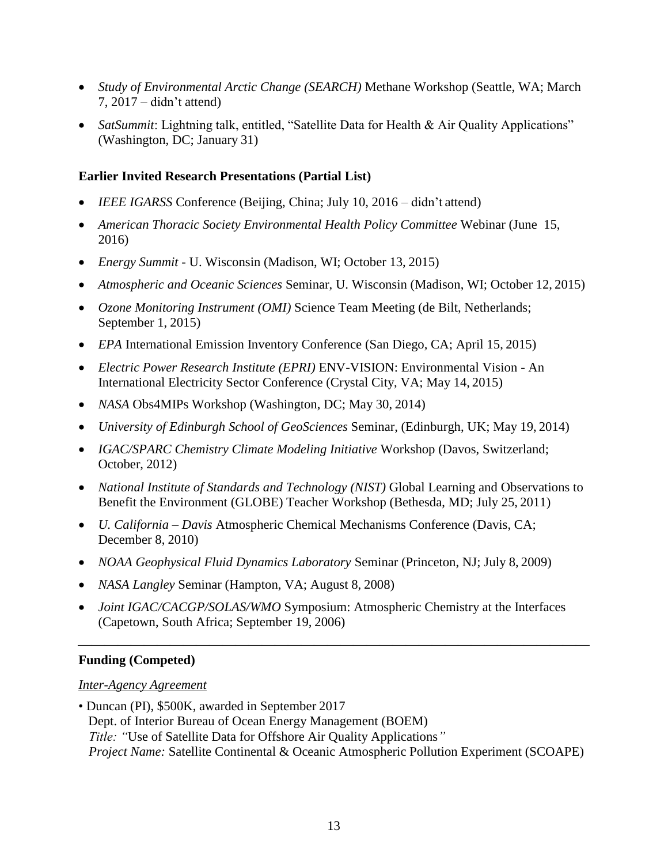- *Study of Environmental Arctic Change (SEARCH)* Methane Workshop (Seattle, WA; March 7, 2017 – didn't attend)
- *SatSummit*: Lightning talk, entitled, "Satellite Data for Health & Air Quality Applications" (Washington, DC; January 31)

# **Earlier Invited Research Presentations (Partial List)**

- *IEEE IGARSS* Conference (Beijing, China; July 10, 2016 didn't attend)
- *American Thoracic Society Environmental Health Policy Committee* Webinar (June 15, 2016)
- *Energy Summit*  U. Wisconsin (Madison, WI; October 13, 2015)
- *Atmospheric and Oceanic Sciences* Seminar, U. Wisconsin (Madison, WI; October 12, 2015)
- *Ozone Monitoring Instrument (OMI)* Science Team Meeting (de Bilt, Netherlands; September 1, 2015)
- *EPA* International Emission Inventory Conference (San Diego, CA; April 15, 2015)
- *Electric Power Research Institute (EPRI)* ENV-VISION: Environmental Vision An International Electricity Sector Conference (Crystal City, VA; May 14, 2015)
- *NASA Obs4MIPs Workshop (Washington, DC; May 30, 2014)*
- *University of Edinburgh School of GeoSciences* Seminar, (Edinburgh, UK; May 19, 2014)
- *IGAC/SPARC Chemistry Climate Modeling Initiative* Workshop (Davos, Switzerland; October, 2012)
- *National Institute of Standards and Technology (NIST)* Global Learning and Observations to Benefit the Environment (GLOBE) Teacher Workshop (Bethesda, MD; July 25, 2011)
- *U. California – Davis* Atmospheric Chemical Mechanisms Conference (Davis, CA; December 8, 2010)
- *NOAA Geophysical Fluid Dynamics Laboratory* Seminar (Princeton, NJ; July 8, 2009)
- *NASA Langley* Seminar (Hampton, VA; August 8, 2008)
- *Joint IGAC/CACGP/SOLAS/WMO* Symposium: Atmospheric Chemistry at the Interfaces (Capetown, South Africa; September 19, 2006)

## **Funding (Competed)**

# *Inter-Agency Agreement*

• Duncan (PI), \$500K, awarded in September 2017 Dept. of Interior Bureau of Ocean Energy Management (BOEM) *Title: "*Use of Satellite Data for Offshore Air Quality Applications*" Project Name:* Satellite Continental & Oceanic Atmospheric Pollution Experiment (SCOAPE)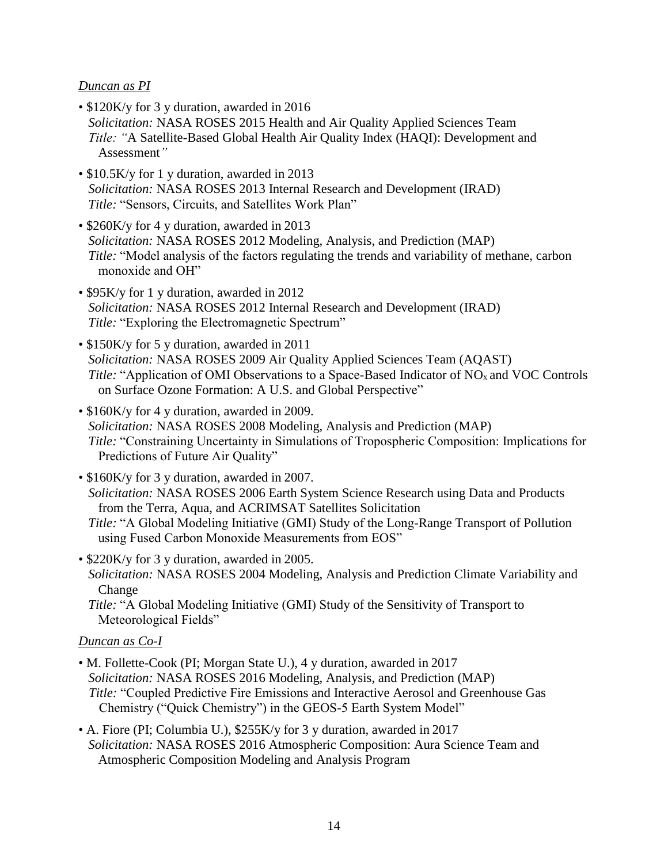# *Duncan as PI*

- \$120K/y for 3 y duration, awarded in 2016 *Solicitation:* NASA ROSES 2015 Health and Air Quality Applied Sciences Team *Title: "*A Satellite-Based Global Health Air Quality Index (HAQI): Development and Assessment*"*
- \$10.5K/y for 1 y duration, awarded in 2013 *Solicitation:* NASA ROSES 2013 Internal Research and Development (IRAD) *Title:* "Sensors, Circuits, and Satellites Work Plan"
- \$260K/y for 4 y duration, awarded in 2013 *Solicitation:* NASA ROSES 2012 Modeling, Analysis, and Prediction (MAP) *Title:* "Model analysis of the factors regulating the trends and variability of methane, carbon monoxide and OH"
- \$95K/y for 1 y duration, awarded in 2012 *Solicitation:* NASA ROSES 2012 Internal Research and Development (IRAD) *Title:* "Exploring the Electromagnetic Spectrum"
- \$150K/y for 5 y duration, awarded in 2011 *Solicitation:* NASA ROSES 2009 Air Quality Applied Sciences Team (AQAST) *Title:* "Application of OMI Observations to a Space-Based Indicator of NO<sub>x</sub> and VOC Controls on Surface Ozone Formation: A U.S. and Global Perspective"
- \$160K/y for 4 y duration, awarded in 2009. *Solicitation:* NASA ROSES 2008 Modeling, Analysis and Prediction (MAP) *Title:* "Constraining Uncertainty in Simulations of Tropospheric Composition: Implications for Predictions of Future Air Quality"
- \$160K/y for 3 y duration, awarded in 2007. *Solicitation:* NASA ROSES 2006 Earth System Science Research using Data and Products from the Terra, Aqua, and ACRIMSAT Satellites Solicitation
	- *Title:* "A Global Modeling Initiative (GMI) Study of the Long-Range Transport of Pollution using Fused Carbon Monoxide Measurements from EOS"
- \$220K/y for 3 y duration, awarded in 2005. *Solicitation:* NASA ROSES 2004 Modeling, Analysis and Prediction Climate Variability and Change
	- *Title:* "A Global Modeling Initiative (GMI) Study of the Sensitivity of Transport to Meteorological Fields"

# *Duncan as Co-I*

- M. Follette-Cook (PI; Morgan State U.), 4 y duration, awarded in 2017 *Solicitation:* NASA ROSES 2016 Modeling, Analysis, and Prediction (MAP) *Title:* "Coupled Predictive Fire Emissions and Interactive Aerosol and Greenhouse Gas Chemistry ("Quick Chemistry") in the GEOS-5 Earth System Model"
- A. Fiore (PI; Columbia U.), \$255K/y for 3 y duration, awarded in 2017 *Solicitation:* NASA ROSES 2016 Atmospheric Composition: Aura Science Team and Atmospheric Composition Modeling and Analysis Program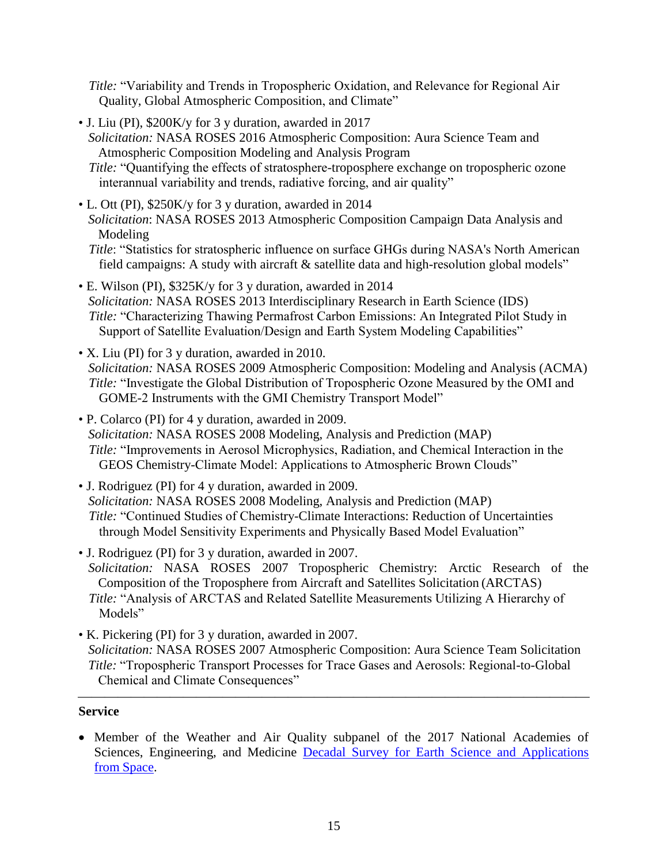*Title:* "Variability and Trends in Tropospheric Oxidation, and Relevance for Regional Air Quality, Global Atmospheric Composition, and Climate"

- J. Liu (PI), \$200K/y for 3 y duration, awarded in 2017 *Solicitation:* NASA ROSES 2016 Atmospheric Composition: Aura Science Team and Atmospheric Composition Modeling and Analysis Program
	- *Title:* "Quantifying the effects of stratosphere-troposphere exchange on tropospheric ozone interannual variability and trends, radiative forcing, and air quality"
- L. Ott (PI), \$250K/y for 3 y duration, awarded in 2014 *Solicitation*: NASA ROSES 2013 Atmospheric Composition Campaign Data Analysis and Modeling
	- *Title*: "Statistics for stratospheric influence on surface GHGs during NASA's North American field campaigns: A study with aircraft & satellite data and high-resolution global models"
- E. Wilson (PI), \$325K/y for 3 y duration, awarded in 2014 *Solicitation:* NASA ROSES 2013 Interdisciplinary Research in Earth Science (IDS) *Title:* "Characterizing Thawing Permafrost Carbon Emissions: An Integrated Pilot Study in Support of Satellite Evaluation/Design and Earth System Modeling Capabilities"
- X. Liu (PI) for 3 y duration, awarded in 2010. *Solicitation:* NASA ROSES 2009 Atmospheric Composition: Modeling and Analysis (ACMA) *Title:* "Investigate the Global Distribution of Tropospheric Ozone Measured by the OMI and GOME-2 Instruments with the GMI Chemistry Transport Model"
- P. Colarco (PI) for 4 y duration, awarded in 2009. *Solicitation:* NASA ROSES 2008 Modeling, Analysis and Prediction (MAP) *Title:* "Improvements in Aerosol Microphysics, Radiation, and Chemical Interaction in the GEOS Chemistry-Climate Model: Applications to Atmospheric Brown Clouds"
- J. Rodriguez (PI) for 4 y duration, awarded in 2009. *Solicitation:* NASA ROSES 2008 Modeling, Analysis and Prediction (MAP) *Title:* "Continued Studies of Chemistry-Climate Interactions: Reduction of Uncertainties through Model Sensitivity Experiments and Physically Based Model Evaluation"
- J. Rodriguez (PI) for 3 y duration, awarded in 2007. *Solicitation:* NASA ROSES 2007 Tropospheric Chemistry: Arctic Research of the Composition of the Troposphere from Aircraft and Satellites Solicitation (ARCTAS) *Title:* "Analysis of ARCTAS and Related Satellite Measurements Utilizing A Hierarchy of Models"
- K. Pickering (PI) for 3 y duration, awarded in 2007. *Solicitation:* NASA ROSES 2007 Atmospheric Composition: Aura Science Team Solicitation *Title:* "Tropospheric Transport Processes for Trace Gases and Aerosols: Regional-to-Global Chemical and Climate Consequences"

# **Service**

 Member of the Weather and Air Quality subpanel of the 2017 National Academies of Sciences, Engineering, and Medicine Decadal Survey for Earth Science and Applications from Space.